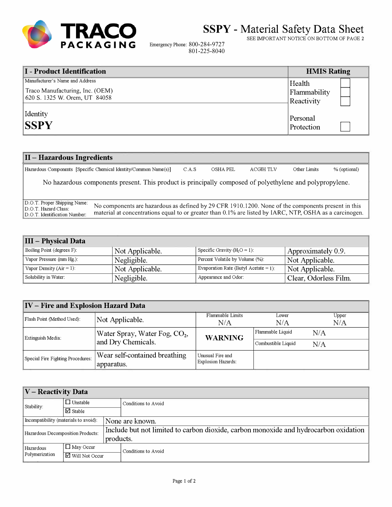

**SSPY** - Material Safety Data Sheet

SEE IMPORT ANT NOTICE ON BOTTOM OF PAGE 2

Emergency Phone: 800-284-9727 801-225-8040

| I - Product Identification      | <b>HMIS Rating</b> |
|---------------------------------|--------------------|
| Manufacturer's Name and Address | Health             |
| Traco Manufacturing, Inc. (OEM) | Flammability       |
| 620 S. 1325 W. Orem, UT 84058   | Reactivity         |
| Identity                        | Personal           |
| <b>SSPY</b>                     | Protection         |

## **II - Hazardous Ingredients**

Hazardous Components [Specific Chemical Identity/Common Name(s)] C.A.S OSHA PEL ACGIHTLV Other Limits % (optional) No hazardous components present. This product is principally composed of polyethylene and polypropylene. D.O.T. Proper Shipping Name: No components are hazardous as defined by 29 CFR 1910.1200. None of the components present in this D.O.T. Hazard Class: material at concentrations equal to or greater than 0.1% are listed by IA material at concentrations equal to or greater than  $0.1\%$  are listed by IARC, NTP, OSHA as a carcinogen.

| III – Physical Data         |                 |                                       |                       |
|-----------------------------|-----------------|---------------------------------------|-----------------------|
| Boiling Point (degrees F):  | Not Applicable. | Specific Gravity $(H_2O = 1)$ :       | Approximately 0.9.    |
| Vapor Pressure (mm Hg.):    | Negligible.     | Percent Volatile by Volume (%):       | Not Applicable.       |
| Vapor Density $(Air = 1)$ : | Not Applicable. | Evaporation Rate (Butyl Acetate = 1): | Not Applicable.       |
| Solubility in Water:        | Negligible.     | Appearance and Odor:                  | Clear, Odorless Film. |

| IV – Fire and Explosion Hazard Data |                                             |                                               |                    |              |  |
|-------------------------------------|---------------------------------------------|-----------------------------------------------|--------------------|--------------|--|
| Flash Point (Method Used):          | Not Applicable.                             | Flammable Limits<br>N/A                       | Lower<br>N/A       | Upper<br>N/A |  |
| Extinguish Media:                   | Water Spray, Water Fog, CO <sub>2</sub> ,   | <b>WARNING</b>                                | Flammable Liquid   | N/A          |  |
|                                     | and Dry Chemicals.                          |                                               | Combustible Liquid | N/A          |  |
| Special Fire Fighting Procedures:   | Wear self-contained breathing<br>apparatus. | Unusual Fire and<br><b>Explosion Hazards:</b> |                    |              |  |

| V – Reactivity Data                   |                    |                     |                                                                                      |  |
|---------------------------------------|--------------------|---------------------|--------------------------------------------------------------------------------------|--|
| Stability:                            | $\Box$ Unstable    |                     | Conditions to Avoid                                                                  |  |
|                                       | $\boxtimes$ Stable |                     |                                                                                      |  |
| Incompatibility (materials to avoid): |                    |                     | None are known.                                                                      |  |
| Hazardous Decomposition Products:     |                    |                     | Include but not limited to carbon dioxide, carbon monoxide and hydrocarbon oxidation |  |
|                                       |                    | products.           |                                                                                      |  |
| Hazardous                             | $\Box$ May Occur   | Conditions to Avoid |                                                                                      |  |
| Polymerization<br>■ Will Not Occur    |                    |                     |                                                                                      |  |